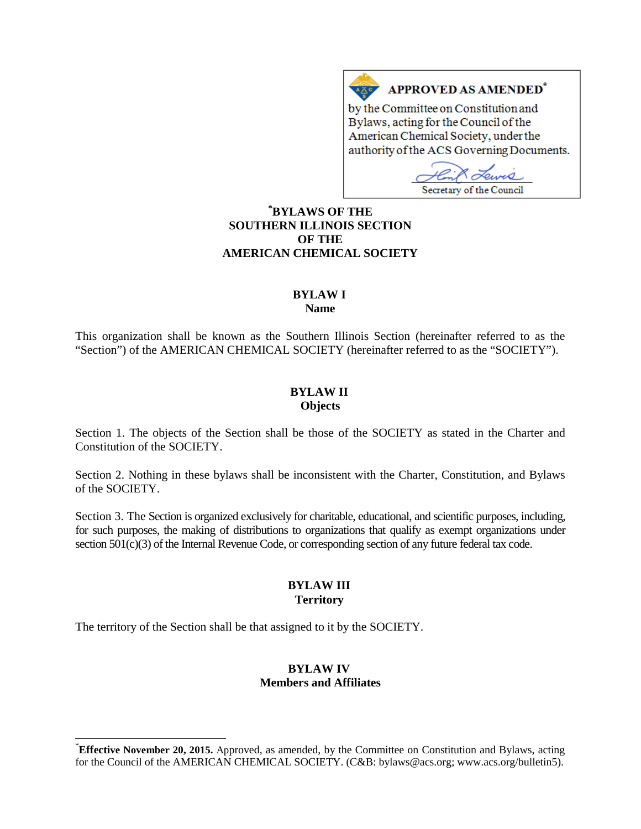#### APPROVED AS AMENDED\*  $A \underline{X}$

by the Committee on Constitution and Bylaws, acting for the Council of the American Chemical Society, under the authority of the ACS Governing Documents.

ewis Secretary of the Council

## **[\\*](#page-0-0) BYLAWS OF THE SOUTHERN ILLINOIS SECTION OF THE AMERICAN CHEMICAL SOCIETY**

# **BYLAW I**

**Name**

This organization shall be known as the Southern Illinois Section (hereinafter referred to as the "Section") of the AMERICAN CHEMICAL SOCIETY (hereinafter referred to as the "SOCIETY").

#### **BYLAW II Objects**

Section 1. The objects of the Section shall be those of the SOCIETY as stated in the Charter and Constitution of the SOCIETY.

Section 2. Nothing in these bylaws shall be inconsistent with the Charter, Constitution, and Bylaws of the SOCIETY.

Section 3. The Section is organized exclusively for charitable, educational, and scientific purposes, including, for such purposes, the making of distributions to organizations that qualify as exempt organizations under section 501(c)(3) of the Internal Revenue Code, or corresponding section of any future federal tax code.

#### **BYLAW III Territory**

The territory of the Section shall be that assigned to it by the SOCIETY.

# **BYLAW IV Members and Affiliates**

<span id="page-0-0"></span><sup>\*</sup>**Effective November 20, 2015.** Approved, as amended, by the Committee on Constitution and Bylaws, acting for the Council of the AMERICAN CHEMICAL SOCIETY. (C&B: bylaws@acs.org; www.acs.org/bulletin5).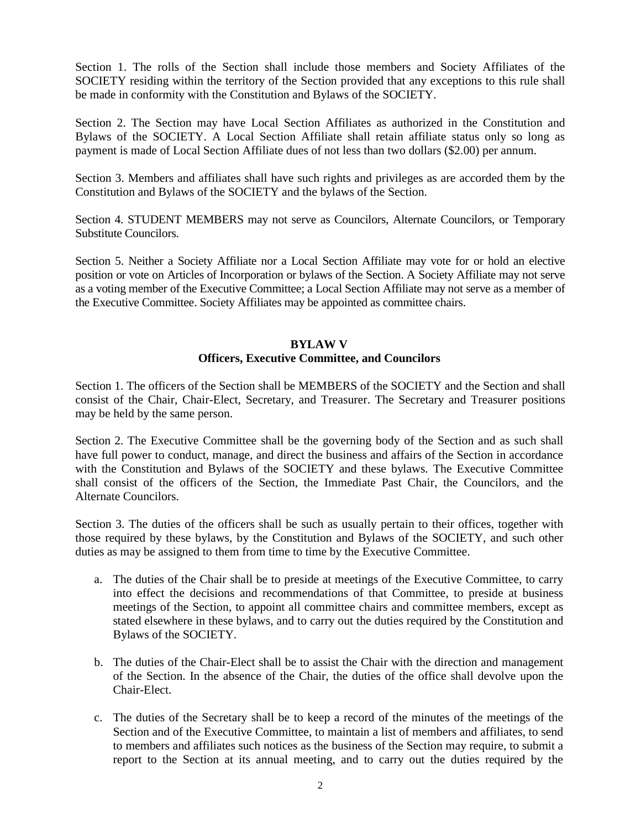Section 1. The rolls of the Section shall include those members and Society Affiliates of the SOCIETY residing within the territory of the Section provided that any exceptions to this rule shall be made in conformity with the Constitution and Bylaws of the SOCIETY.

Section 2. The Section may have Local Section Affiliates as authorized in the Constitution and Bylaws of the SOCIETY. A Local Section Affiliate shall retain affiliate status only so long as payment is made of Local Section Affiliate dues of not less than two dollars (\$2.00) per annum.

Section 3. Members and affiliates shall have such rights and privileges as are accorded them by the Constitution and Bylaws of the SOCIETY and the bylaws of the Section.

Section 4. STUDENT MEMBERS may not serve as Councilors, Alternate Councilors, or Temporary Substitute Councilors.

Section 5. Neither a Society Affiliate nor a Local Section Affiliate may vote for or hold an elective position or vote on Articles of Incorporation or bylaws of the Section. A Society Affiliate may not serve as a voting member of the Executive Committee; a Local Section Affiliate may not serve as a member of the Executive Committee. Society Affiliates may be appointed as committee chairs.

#### **BYLAW V Officers, Executive Committee, and Councilors**

Section 1. The officers of the Section shall be MEMBERS of the SOCIETY and the Section and shall consist of the Chair, Chair-Elect, Secretary, and Treasurer. The Secretary and Treasurer positions may be held by the same person.

Section 2. The Executive Committee shall be the governing body of the Section and as such shall have full power to conduct, manage, and direct the business and affairs of the Section in accordance with the Constitution and Bylaws of the SOCIETY and these bylaws. The Executive Committee shall consist of the officers of the Section, the Immediate Past Chair, the Councilors, and the Alternate Councilors.

Section 3. The duties of the officers shall be such as usually pertain to their offices, together with those required by these bylaws, by the Constitution and Bylaws of the SOCIETY, and such other duties as may be assigned to them from time to time by the Executive Committee.

- a. The duties of the Chair shall be to preside at meetings of the Executive Committee, to carry into effect the decisions and recommendations of that Committee, to preside at business meetings of the Section, to appoint all committee chairs and committee members, except as stated elsewhere in these bylaws, and to carry out the duties required by the Constitution and Bylaws of the SOCIETY.
- b. The duties of the Chair-Elect shall be to assist the Chair with the direction and management of the Section. In the absence of the Chair, the duties of the office shall devolve upon the Chair-Elect.
- c. The duties of the Secretary shall be to keep a record of the minutes of the meetings of the Section and of the Executive Committee, to maintain a list of members and affiliates, to send to members and affiliates such notices as the business of the Section may require, to submit a report to the Section at its annual meeting, and to carry out the duties required by the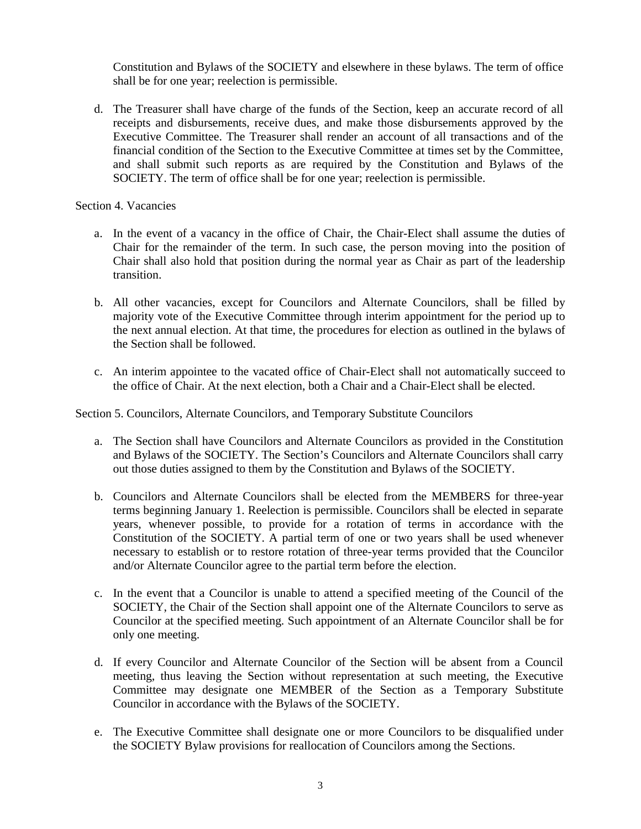Constitution and Bylaws of the SOCIETY and elsewhere in these bylaws. The term of office shall be for one year; reelection is permissible.

d. The Treasurer shall have charge of the funds of the Section, keep an accurate record of all receipts and disbursements, receive dues, and make those disbursements approved by the Executive Committee. The Treasurer shall render an account of all transactions and of the financial condition of the Section to the Executive Committee at times set by the Committee, and shall submit such reports as are required by the Constitution and Bylaws of the SOCIETY. The term of office shall be for one year; reelection is permissible.

Section 4. Vacancies

- a. In the event of a vacancy in the office of Chair, the Chair-Elect shall assume the duties of Chair for the remainder of the term. In such case, the person moving into the position of Chair shall also hold that position during the normal year as Chair as part of the leadership transition.
- b. All other vacancies, except for Councilors and Alternate Councilors, shall be filled by majority vote of the Executive Committee through interim appointment for the period up to the next annual election. At that time, the procedures for election as outlined in the bylaws of the Section shall be followed.
- c. An interim appointee to the vacated office of Chair-Elect shall not automatically succeed to the office of Chair. At the next election, both a Chair and a Chair-Elect shall be elected.

Section 5. Councilors, Alternate Councilors, and Temporary Substitute Councilors

- a. The Section shall have Councilors and Alternate Councilors as provided in the Constitution and Bylaws of the SOCIETY. The Section's Councilors and Alternate Councilors shall carry out those duties assigned to them by the Constitution and Bylaws of the SOCIETY.
- b. Councilors and Alternate Councilors shall be elected from the MEMBERS for three-year terms beginning January 1. Reelection is permissible. Councilors shall be elected in separate years, whenever possible, to provide for a rotation of terms in accordance with the Constitution of the SOCIETY. A partial term of one or two years shall be used whenever necessary to establish or to restore rotation of three-year terms provided that the Councilor and/or Alternate Councilor agree to the partial term before the election.
- c. In the event that a Councilor is unable to attend a specified meeting of the Council of the SOCIETY, the Chair of the Section shall appoint one of the Alternate Councilors to serve as Councilor at the specified meeting. Such appointment of an Alternate Councilor shall be for only one meeting.
- d. If every Councilor and Alternate Councilor of the Section will be absent from a Council meeting, thus leaving the Section without representation at such meeting, the Executive Committee may designate one MEMBER of the Section as a Temporary Substitute Councilor in accordance with the Bylaws of the SOCIETY.
- e. The Executive Committee shall designate one or more Councilors to be disqualified under the SOCIETY Bylaw provisions for reallocation of Councilors among the Sections.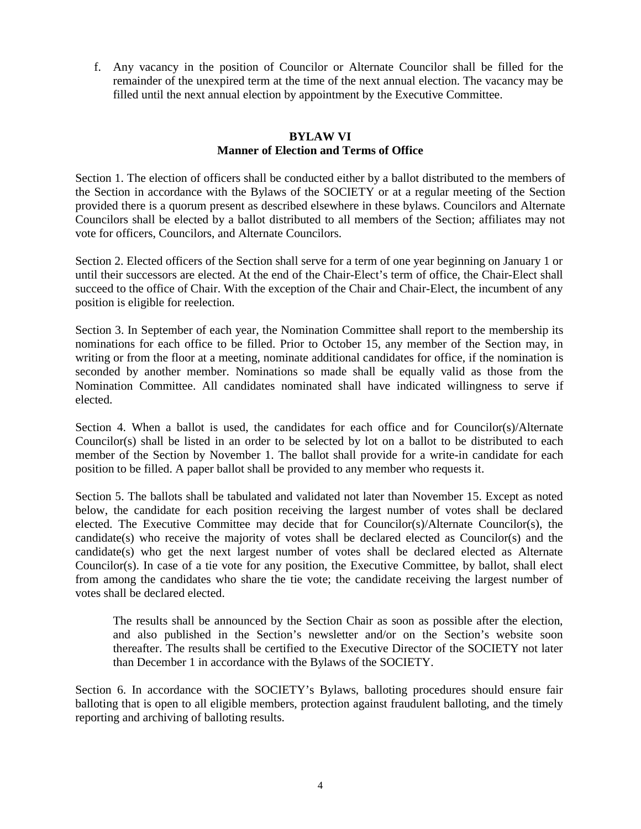f. Any vacancy in the position of Councilor or Alternate Councilor shall be filled for the remainder of the unexpired term at the time of the next annual election. The vacancy may be filled until the next annual election by appointment by the Executive Committee.

# **BYLAW VI Manner of Election and Terms of Office**

Section 1. The election of officers shall be conducted either by a ballot distributed to the members of the Section in accordance with the Bylaws of the SOCIETY or at a regular meeting of the Section provided there is a quorum present as described elsewhere in these bylaws. Councilors and Alternate Councilors shall be elected by a ballot distributed to all members of the Section; affiliates may not vote for officers, Councilors, and Alternate Councilors.

Section 2. Elected officers of the Section shall serve for a term of one year beginning on January 1 or until their successors are elected. At the end of the Chair-Elect's term of office, the Chair-Elect shall succeed to the office of Chair. With the exception of the Chair and Chair-Elect, the incumbent of any position is eligible for reelection.

Section 3. In September of each year, the Nomination Committee shall report to the membership its nominations for each office to be filled. Prior to October 15, any member of the Section may, in writing or from the floor at a meeting, nominate additional candidates for office, if the nomination is seconded by another member. Nominations so made shall be equally valid as those from the Nomination Committee. All candidates nominated shall have indicated willingness to serve if elected.

Section 4. When a ballot is used, the candidates for each office and for Councilor(s)/Alternate Councilor(s) shall be listed in an order to be selected by lot on a ballot to be distributed to each member of the Section by November 1. The ballot shall provide for a write-in candidate for each position to be filled. A paper ballot shall be provided to any member who requests it.

Section 5. The ballots shall be tabulated and validated not later than November 15. Except as noted below, the candidate for each position receiving the largest number of votes shall be declared elected. The Executive Committee may decide that for Councilor(s)/Alternate Councilor(s), the candidate(s) who receive the majority of votes shall be declared elected as Councilor(s) and the candidate(s) who get the next largest number of votes shall be declared elected as Alternate Councilor(s). In case of a tie vote for any position, the Executive Committee, by ballot, shall elect from among the candidates who share the tie vote; the candidate receiving the largest number of votes shall be declared elected.

The results shall be announced by the Section Chair as soon as possible after the election, and also published in the Section's newsletter and/or on the Section's website soon thereafter. The results shall be certified to the Executive Director of the SOCIETY not later than December 1 in accordance with the Bylaws of the SOCIETY.

Section 6. In accordance with the SOCIETY's Bylaws, balloting procedures should ensure fair balloting that is open to all eligible members, protection against fraudulent balloting, and the timely reporting and archiving of balloting results.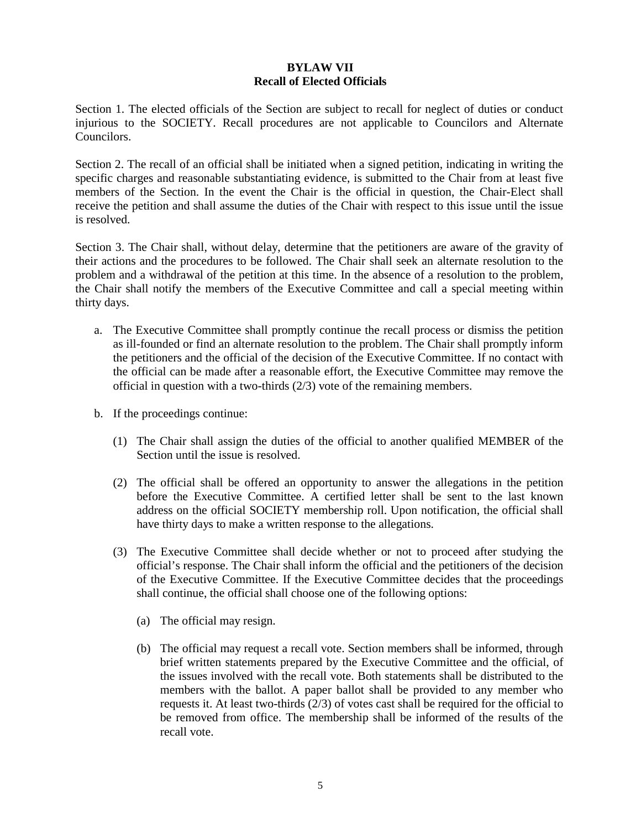# **BYLAW VII Recall of Elected Officials**

Section 1. The elected officials of the Section are subject to recall for neglect of duties or conduct injurious to the SOCIETY. Recall procedures are not applicable to Councilors and Alternate Councilors.

Section 2. The recall of an official shall be initiated when a signed petition, indicating in writing the specific charges and reasonable substantiating evidence, is submitted to the Chair from at least five members of the Section. In the event the Chair is the official in question, the Chair-Elect shall receive the petition and shall assume the duties of the Chair with respect to this issue until the issue is resolved.

Section 3. The Chair shall, without delay, determine that the petitioners are aware of the gravity of their actions and the procedures to be followed. The Chair shall seek an alternate resolution to the problem and a withdrawal of the petition at this time. In the absence of a resolution to the problem, the Chair shall notify the members of the Executive Committee and call a special meeting within thirty days.

- a. The Executive Committee shall promptly continue the recall process or dismiss the petition as ill-founded or find an alternate resolution to the problem. The Chair shall promptly inform the petitioners and the official of the decision of the Executive Committee. If no contact with the official can be made after a reasonable effort, the Executive Committee may remove the official in question with a two-thirds (2/3) vote of the remaining members.
- b. If the proceedings continue:
	- (1) The Chair shall assign the duties of the official to another qualified MEMBER of the Section until the issue is resolved.
	- (2) The official shall be offered an opportunity to answer the allegations in the petition before the Executive Committee. A certified letter shall be sent to the last known address on the official SOCIETY membership roll. Upon notification, the official shall have thirty days to make a written response to the allegations.
	- (3) The Executive Committee shall decide whether or not to proceed after studying the official's response. The Chair shall inform the official and the petitioners of the decision of the Executive Committee. If the Executive Committee decides that the proceedings shall continue, the official shall choose one of the following options:
		- (a) The official may resign.
		- (b) The official may request a recall vote. Section members shall be informed, through brief written statements prepared by the Executive Committee and the official, of the issues involved with the recall vote. Both statements shall be distributed to the members with the ballot. A paper ballot shall be provided to any member who requests it. At least two-thirds (2/3) of votes cast shall be required for the official to be removed from office. The membership shall be informed of the results of the recall vote.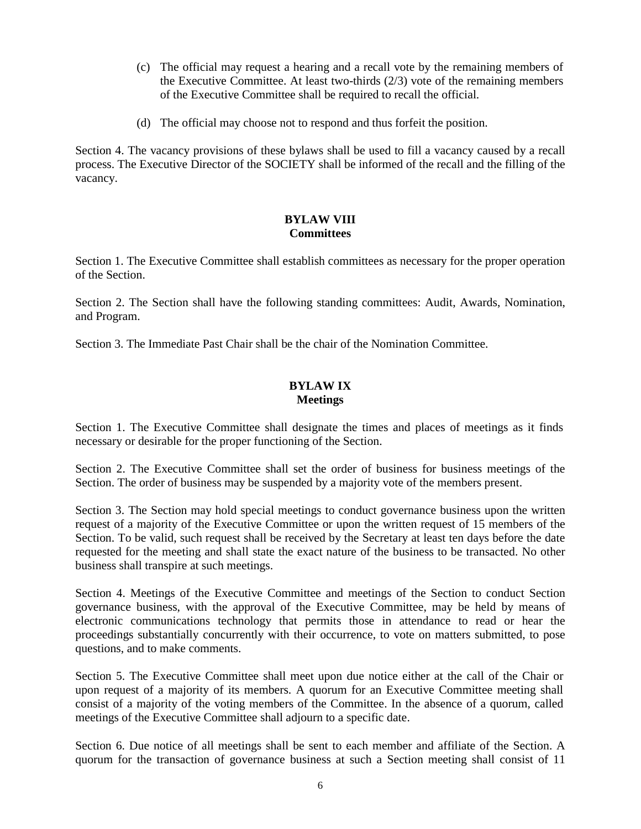- (c) The official may request a hearing and a recall vote by the remaining members of the Executive Committee. At least two-thirds (2/3) vote of the remaining members of the Executive Committee shall be required to recall the official.
- (d) The official may choose not to respond and thus forfeit the position.

Section 4. The vacancy provisions of these bylaws shall be used to fill a vacancy caused by a recall process. The Executive Director of the SOCIETY shall be informed of the recall and the filling of the vacancy.

## **BYLAW VIII Committees**

Section 1. The Executive Committee shall establish committees as necessary for the proper operation of the Section.

Section 2. The Section shall have the following standing committees: Audit, Awards, Nomination, and Program.

Section 3. The Immediate Past Chair shall be the chair of the Nomination Committee.

## **BYLAW IX Meetings**

Section 1. The Executive Committee shall designate the times and places of meetings as it finds necessary or desirable for the proper functioning of the Section.

Section 2. The Executive Committee shall set the order of business for business meetings of the Section. The order of business may be suspended by a majority vote of the members present.

Section 3. The Section may hold special meetings to conduct governance business upon the written request of a majority of the Executive Committee or upon the written request of 15 members of the Section. To be valid, such request shall be received by the Secretary at least ten days before the date requested for the meeting and shall state the exact nature of the business to be transacted. No other business shall transpire at such meetings.

Section 4. Meetings of the Executive Committee and meetings of the Section to conduct Section governance business, with the approval of the Executive Committee, may be held by means of electronic communications technology that permits those in attendance to read or hear the proceedings substantially concurrently with their occurrence, to vote on matters submitted, to pose questions, and to make comments.

Section 5. The Executive Committee shall meet upon due notice either at the call of the Chair or upon request of a majority of its members. A quorum for an Executive Committee meeting shall consist of a majority of the voting members of the Committee. In the absence of a quorum, called meetings of the Executive Committee shall adjourn to a specific date.

Section 6. Due notice of all meetings shall be sent to each member and affiliate of the Section. A quorum for the transaction of governance business at such a Section meeting shall consist of 11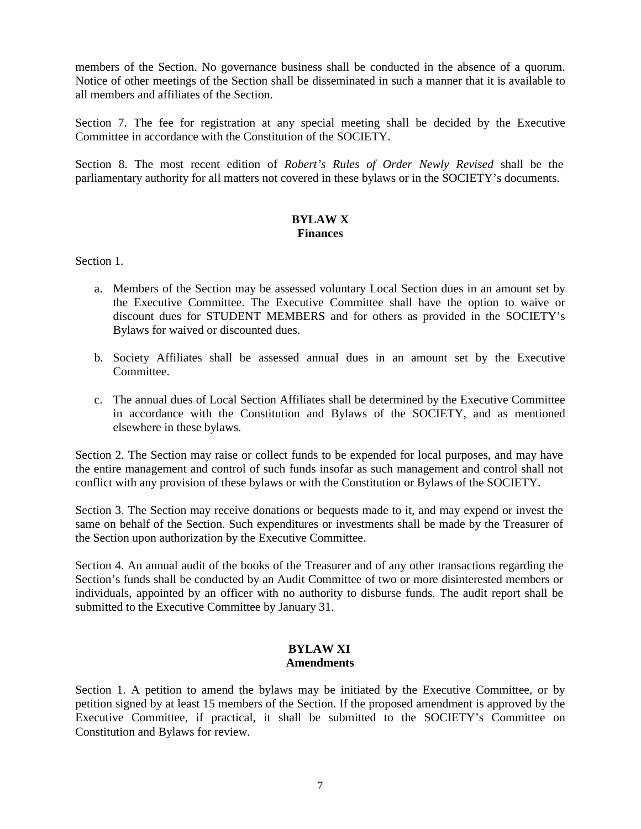members of the Section. No governance business shall be conducted in the absence of a quorum. Notice of other meetings of the Section shall be disseminated in such a manner that it is available to all members and affiliates of the Section.

Section 7. The fee for registration at any special meeting shall be decided by the Executive Committee in accordance with the Constitution of the SOCIETY.

Section 8. The most recent edition of *Robert's Rules of Order Newly Revised* shall be the parliamentary authority for all matters not covered in these bylaws or in the SOCIETY's documents.

## **BYLAW X Finances**

Section 1.

- a. Members of the Section may be assessed voluntary Local Section dues in an amount set by the Executive Committee. The Executive Committee shall have the option to waive or discount dues for STUDENT MEMBERS and for others as provided in the SOCIETY's Bylaws for waived or discounted dues.
- b. Society Affiliates shall be assessed annual dues in an amount set by the Executive Committee.
- c. The annual dues of Local Section Affiliates shall be determined by the Executive Committee in accordance with the Constitution and Bylaws of the SOCIETY, and as mentioned elsewhere in these bylaws.

Section 2. The Section may raise or collect funds to be expended for local purposes, and may have the entire management and control of such funds insofar as such management and control shall not conflict with any provision of these bylaws or with the Constitution or Bylaws of the SOCIETY.

Section 3. The Section may receive donations or bequests made to it, and may expend or invest the same on behalf of the Section. Such expenditures or investments shall be made by the Treasurer of the Section upon authorization by the Executive Committee.

Section 4. An annual audit of the books of the Treasurer and of any other transactions regarding the Section's funds shall be conducted by an Audit Committee of two or more disinterested members or individuals, appointed by an officer with no authority to disburse funds. The audit report shall be submitted to the Executive Committee by January 31.

#### **BYLAW XI Amendments**

Section 1. A petition to amend the bylaws may be initiated by the Executive Committee, or by petition signed by at least 15 members of the Section. If the proposed amendment is approved by the Executive Committee, if practical, it shall be submitted to the SOCIETY's Committee on Constitution and Bylaws for review.